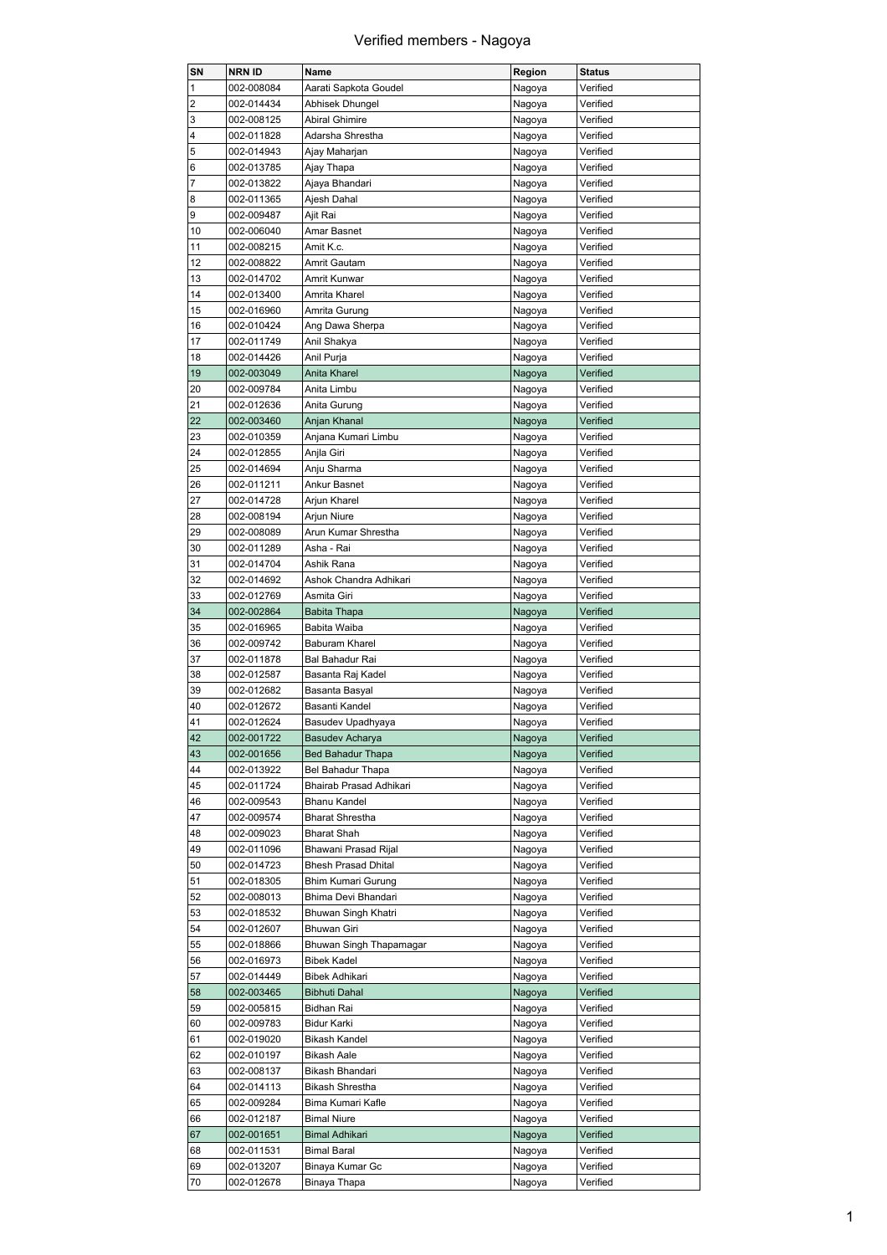| SN             | NRN ID     | Name                              | Region | <b>Status</b> |
|----------------|------------|-----------------------------------|--------|---------------|
| 1              | 002-008084 | Aarati Sapkota Goudel             | Nagoya | Verified      |
| 2              | 002-014434 | Abhisek Dhungel                   | Nagoya | Verified      |
| 3              | 002-008125 | <b>Abiral Ghimire</b>             | Nagoya | Verified      |
| 4              | 002-011828 | Adarsha Shrestha                  | Nagoya | Verified      |
| 5              | 002-014943 | Ajay Maharjan                     | Nagoya | Verified      |
| 6              | 002-013785 | Ajay Thapa                        | Nagoya | Verified      |
| $\overline{7}$ | 002-013822 | Ajaya Bhandari                    | Nagoya | Verified      |
| 8              | 002-011365 | Ajesh Dahal                       | Nagoya | Verified      |
| 9              | 002-009487 | Ajit Rai                          | Nagoya | Verified      |
| 10             | 002-006040 | Amar Basnet                       | Nagoya | Verified      |
| 11             | 002-008215 | Amit K.c.                         | Nagoya | Verified      |
| 12             | 002-008822 | Amrit Gautam                      | Nagoya | Verified      |
| 13             | 002-014702 | Amrit Kunwar                      | Nagoya | Verified      |
| 14             | 002-013400 | Amrita Kharel                     | Nagoya | Verified      |
| 15             | 002-016960 | Amrita Gurung                     | Nagoya | Verified      |
| 16             | 002-010424 | Ang Dawa Sherpa                   | Nagoya | Verified      |
| 17             | 002-011749 | Anil Shakya                       | Nagoya | Verified      |
| 18             | 002-014426 | Anil Purja                        | Nagoya | Verified      |
| 19             | 002-003049 | Anita Kharel                      | Nagoya | Verified      |
| 20             | 002-009784 | Anita Limbu                       | Nagoya | Verified      |
| 21             | 002-012636 | Anita Gurung                      |        | Verified      |
| 22             | 002-003460 |                                   | Nagoya | Verified      |
|                |            | Anjan Khanal                      | Nagoya |               |
| 23<br>24       | 002-010359 | Anjana Kumari Limbu<br>Anjla Giri | Nagoya | Verified      |
|                | 002-012855 |                                   | Nagoya | Verified      |
| 25             | 002-014694 | Anju Sharma                       | Nagoya | Verified      |
| 26             | 002-011211 | Ankur Basnet                      | Nagoya | Verified      |
| 27             | 002-014728 | Arjun Kharel                      | Nagoya | Verified      |
| 28             | 002-008194 | Arjun Niure                       | Nagoya | Verified      |
| 29             | 002-008089 | Arun Kumar Shrestha               | Nagoya | Verified      |
| 30             | 002-011289 | Asha - Rai                        | Nagoya | Verified      |
| 31             | 002-014704 | Ashik Rana                        | Nagoya | Verified      |
| 32             | 002-014692 | Ashok Chandra Adhikari            | Nagoya | Verified      |
| 33             | 002-012769 | Asmita Giri                       | Nagoya | Verified      |
| 34             | 002-002864 | <b>Babita Thapa</b>               | Nagoya | Verified      |
| 35             | 002-016965 | Babita Waiba                      | Nagoya | Verified      |
| 36             | 002-009742 | Baburam Kharel                    | Nagoya | Verified      |
| 37             | 002-011878 | Bal Bahadur Rai                   | Nagoya | Verified      |
| 38             | 002-012587 | Basanta Raj Kadel                 | Nagoya | Verified      |
| 39             | 002-012682 | Basanta Basyal                    | Nagoya | Verified      |
| 40             | 002-012672 | Basanti Kandel                    | Nagoya | Verified      |
| 41             | 002-012624 | Basudev Upadhyaya                 | Nagoya | Verified      |
| 42             | 002-001722 | Basudev Acharya                   | Nagoya | Verified      |
| 43             | 002-001656 | Bed Bahadur Thapa                 | Nagoya | Verified      |
| 44             | 002-013922 | Bel Bahadur Thapa                 | Nagoya | Verified      |
| 45             | 002-011724 | Bhairab Prasad Adhikari           | Nagoya | Verified      |
| 46             | 002-009543 | Bhanu Kandel                      | Nagoya | Verified      |
| 47             | 002-009574 | <b>Bharat Shrestha</b>            | Nagoya | Verified      |
| 48             | 002-009023 | <b>Bharat Shah</b>                | Nagoya | Verified      |
| 49             | 002-011096 | Bhawani Prasad Rijal              | Nagoya | Verified      |
| 50             | 002-014723 | <b>Bhesh Prasad Dhital</b>        | Nagoya | Verified      |
| 51             | 002-018305 | Bhim Kumari Gurung                | Nagoya | Verified      |
| 52             | 002-008013 | Bhima Devi Bhandari               | Nagoya | Verified      |
| 53             | 002-018532 | Bhuwan Singh Khatri               | Nagoya | Verified      |
| 54             | 002-012607 | Bhuwan Giri                       | Nagoya | Verified      |
| 55             | 002-018866 | Bhuwan Singh Thapamagar           | Nagoya | Verified      |
| 56             | 002-016973 | <b>Bibek Kadel</b>                | Nagoya | Verified      |
| 57             | 002-014449 | <b>Bibek Adhikari</b>             | Nagoya | Verified      |
| 58             | 002-003465 | <b>Bibhuti Dahal</b>              | Nagoya | Verified      |
| 59             | 002-005815 | Bidhan Rai                        | Nagoya | Verified      |
| 60             | 002-009783 | Bidur Karki                       | Nagoya | Verified      |
| 61             | 002-019020 | Bikash Kandel                     | Nagoya | Verified      |
| 62             | 002-010197 | Bikash Aale                       | Nagoya | Verified      |
| 63             | 002-008137 | Bikash Bhandari                   | Nagoya | Verified      |
| 64             | 002-014113 | <b>Bikash Shrestha</b>            | Nagoya | Verified      |
| 65             | 002-009284 | Bima Kumari Kafle                 | Nagoya | Verified      |
|                |            |                                   | Nagoya | Verified      |
| 66             | 002-012187 | <b>Bimal Niure</b>                |        |               |
| 67             | 002-001651 | Bimal Adhikari                    | Nagoya | Verified      |
| 68             | 002-011531 | <b>Bimal Baral</b>                | Nagoya | Verified      |
| 69             | 002-013207 | Binaya Kumar Gc                   | Nagoya | Verified      |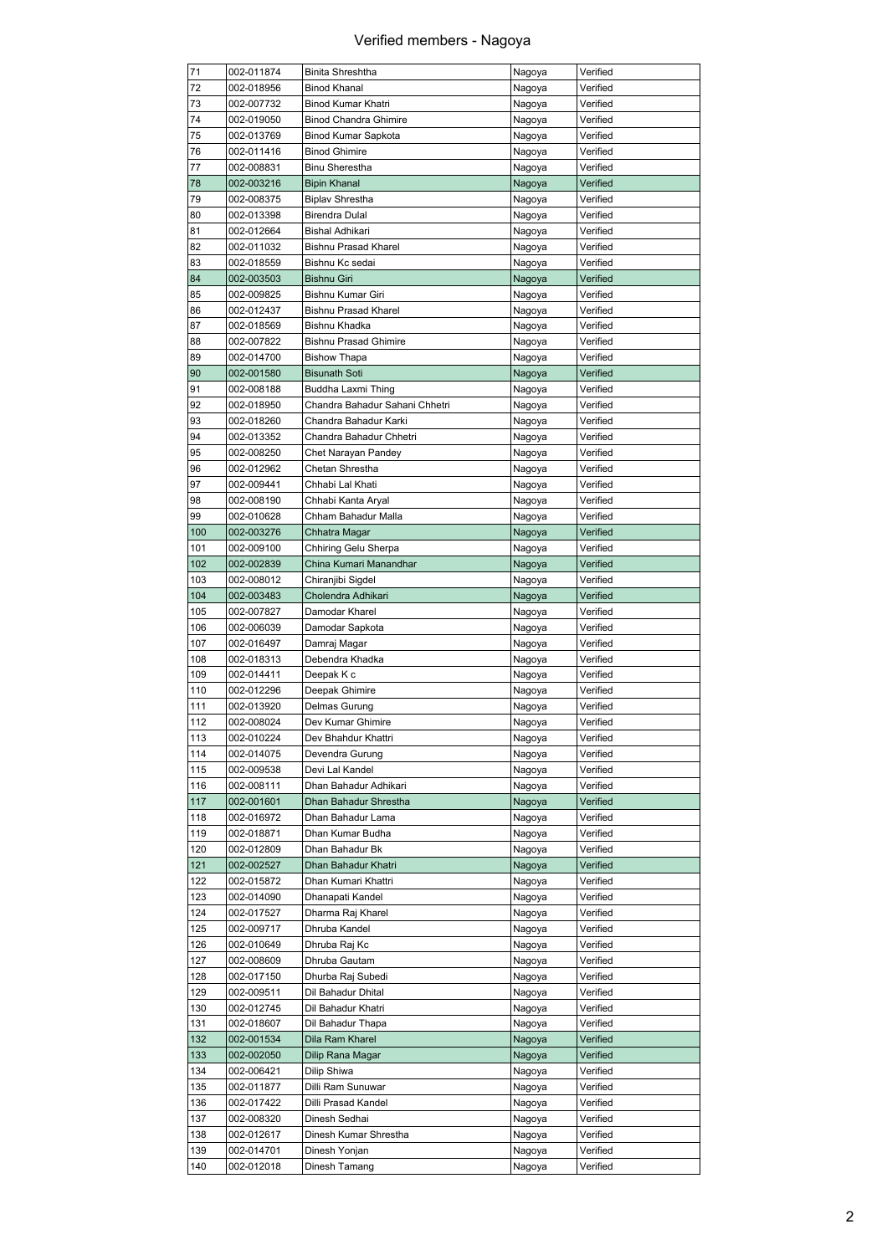| 002-018956<br>002-007732<br>002-019050 | <b>Binod Khanal</b>                                                                                                                                                                                            | Nagoya                                                                                                                                                                                                                                                                                                                                             | Verified                                                                                                                                           |
|----------------------------------------|----------------------------------------------------------------------------------------------------------------------------------------------------------------------------------------------------------------|----------------------------------------------------------------------------------------------------------------------------------------------------------------------------------------------------------------------------------------------------------------------------------------------------------------------------------------------------|----------------------------------------------------------------------------------------------------------------------------------------------------|
|                                        |                                                                                                                                                                                                                | Nagoya                                                                                                                                                                                                                                                                                                                                             | Verified                                                                                                                                           |
|                                        | Binod Kumar Khatri                                                                                                                                                                                             | Nagoya                                                                                                                                                                                                                                                                                                                                             | Verified                                                                                                                                           |
|                                        | <b>Binod Chandra Ghimire</b>                                                                                                                                                                                   | Nagoya                                                                                                                                                                                                                                                                                                                                             | Verified                                                                                                                                           |
| 002-013769                             | Binod Kumar Sapkota                                                                                                                                                                                            | Nagoya                                                                                                                                                                                                                                                                                                                                             | Verified                                                                                                                                           |
| 002-011416                             | <b>Binod Ghimire</b>                                                                                                                                                                                           | Nagoya                                                                                                                                                                                                                                                                                                                                             | Verified                                                                                                                                           |
| 002-008831                             | <b>Binu Sherestha</b>                                                                                                                                                                                          | Nagoya                                                                                                                                                                                                                                                                                                                                             | Verified                                                                                                                                           |
| 002-003216                             | <b>Bipin Khanal</b>                                                                                                                                                                                            | Nagoya                                                                                                                                                                                                                                                                                                                                             | Verified                                                                                                                                           |
| 002-008375                             | <b>Biplav Shrestha</b>                                                                                                                                                                                         | Nagoya                                                                                                                                                                                                                                                                                                                                             | Verified                                                                                                                                           |
| 002-013398                             | Birendra Dulal                                                                                                                                                                                                 | Nagoya                                                                                                                                                                                                                                                                                                                                             | Verified                                                                                                                                           |
| 002-012664                             | Bishal Adhikari                                                                                                                                                                                                | Nagoya                                                                                                                                                                                                                                                                                                                                             | Verified                                                                                                                                           |
| 002-011032                             | <b>Bishnu Prasad Kharel</b>                                                                                                                                                                                    | Nagoya                                                                                                                                                                                                                                                                                                                                             | Verified                                                                                                                                           |
| 002-018559                             | Bishnu Kc sedai                                                                                                                                                                                                | Nagoya                                                                                                                                                                                                                                                                                                                                             | Verified                                                                                                                                           |
|                                        | <b>Bishnu Giri</b>                                                                                                                                                                                             |                                                                                                                                                                                                                                                                                                                                                    | Verified                                                                                                                                           |
| 002-009825                             | Bishnu Kumar Giri                                                                                                                                                                                              |                                                                                                                                                                                                                                                                                                                                                    | Verified                                                                                                                                           |
|                                        |                                                                                                                                                                                                                |                                                                                                                                                                                                                                                                                                                                                    | Verified                                                                                                                                           |
|                                        |                                                                                                                                                                                                                |                                                                                                                                                                                                                                                                                                                                                    | Verified                                                                                                                                           |
|                                        |                                                                                                                                                                                                                |                                                                                                                                                                                                                                                                                                                                                    | Verified                                                                                                                                           |
|                                        |                                                                                                                                                                                                                |                                                                                                                                                                                                                                                                                                                                                    | Verified                                                                                                                                           |
|                                        |                                                                                                                                                                                                                |                                                                                                                                                                                                                                                                                                                                                    | Verified                                                                                                                                           |
|                                        |                                                                                                                                                                                                                |                                                                                                                                                                                                                                                                                                                                                    | Verified                                                                                                                                           |
|                                        |                                                                                                                                                                                                                |                                                                                                                                                                                                                                                                                                                                                    | Verified                                                                                                                                           |
|                                        |                                                                                                                                                                                                                |                                                                                                                                                                                                                                                                                                                                                    | Verified                                                                                                                                           |
|                                        |                                                                                                                                                                                                                |                                                                                                                                                                                                                                                                                                                                                    |                                                                                                                                                    |
|                                        |                                                                                                                                                                                                                |                                                                                                                                                                                                                                                                                                                                                    | Verified                                                                                                                                           |
|                                        |                                                                                                                                                                                                                |                                                                                                                                                                                                                                                                                                                                                    | Verified                                                                                                                                           |
|                                        |                                                                                                                                                                                                                |                                                                                                                                                                                                                                                                                                                                                    | Verified                                                                                                                                           |
|                                        |                                                                                                                                                                                                                |                                                                                                                                                                                                                                                                                                                                                    | Verified                                                                                                                                           |
|                                        |                                                                                                                                                                                                                |                                                                                                                                                                                                                                                                                                                                                    | Verified                                                                                                                                           |
|                                        |                                                                                                                                                                                                                | Nagoya                                                                                                                                                                                                                                                                                                                                             | Verified                                                                                                                                           |
| 002-003276                             | Chhatra Magar                                                                                                                                                                                                  | Nagoya                                                                                                                                                                                                                                                                                                                                             | Verified                                                                                                                                           |
| 002-009100                             | Chhiring Gelu Sherpa                                                                                                                                                                                           | Nagoya                                                                                                                                                                                                                                                                                                                                             | Verified                                                                                                                                           |
| 002-002839                             | China Kumari Manandhar                                                                                                                                                                                         | Nagoya                                                                                                                                                                                                                                                                                                                                             | Verified                                                                                                                                           |
| 002-008012                             | Chiranjibi Sigdel                                                                                                                                                                                              | Nagoya                                                                                                                                                                                                                                                                                                                                             | Verified                                                                                                                                           |
| 002-003483                             | Cholendra Adhikari                                                                                                                                                                                             | Nagoya                                                                                                                                                                                                                                                                                                                                             | Verified                                                                                                                                           |
| 002-007827                             | Damodar Kharel                                                                                                                                                                                                 | Nagoya                                                                                                                                                                                                                                                                                                                                             | Verified                                                                                                                                           |
| 002-006039                             | Damodar Sapkota                                                                                                                                                                                                | Nagoya                                                                                                                                                                                                                                                                                                                                             | Verified                                                                                                                                           |
| 002-016497                             | Damraj Magar                                                                                                                                                                                                   | Nagoya                                                                                                                                                                                                                                                                                                                                             | Verified                                                                                                                                           |
| 002-018313                             | Debendra Khadka                                                                                                                                                                                                | Nagoya                                                                                                                                                                                                                                                                                                                                             | Verified                                                                                                                                           |
| 002-014411                             | Deepak K c                                                                                                                                                                                                     | Nagoya                                                                                                                                                                                                                                                                                                                                             | Verified                                                                                                                                           |
| 002-012296                             | Deepak Ghimire                                                                                                                                                                                                 | Nagoya                                                                                                                                                                                                                                                                                                                                             | Verified                                                                                                                                           |
| 002-013920                             | Delmas Gurung                                                                                                                                                                                                  | Nagoya                                                                                                                                                                                                                                                                                                                                             |                                                                                                                                                    |
| 002-008024                             | Dev Kumar Ghimire                                                                                                                                                                                              |                                                                                                                                                                                                                                                                                                                                                    | Verified                                                                                                                                           |
|                                        |                                                                                                                                                                                                                | Nagoya                                                                                                                                                                                                                                                                                                                                             | Verified                                                                                                                                           |
| 002-010224                             | Dev Bhahdur Khattri                                                                                                                                                                                            |                                                                                                                                                                                                                                                                                                                                                    | Verified                                                                                                                                           |
| 002-014075                             |                                                                                                                                                                                                                | Nagoya                                                                                                                                                                                                                                                                                                                                             |                                                                                                                                                    |
|                                        | Devendra Gurung<br>Devi Lal Kandel                                                                                                                                                                             | Nagoya<br>Nagoya                                                                                                                                                                                                                                                                                                                                   | Verified<br>Verified                                                                                                                               |
| 002-009538                             |                                                                                                                                                                                                                |                                                                                                                                                                                                                                                                                                                                                    |                                                                                                                                                    |
| 002-008111                             | Dhan Bahadur Adhikari                                                                                                                                                                                          | Nagoya                                                                                                                                                                                                                                                                                                                                             | Verified                                                                                                                                           |
| 002-001601<br>002-016972               | Dhan Bahadur Shrestha<br>Dhan Bahadur Lama                                                                                                                                                                     | Nagoya                                                                                                                                                                                                                                                                                                                                             | Verified<br>Verified                                                                                                                               |
|                                        | Dhan Kumar Budha                                                                                                                                                                                               | Nagoya                                                                                                                                                                                                                                                                                                                                             | Verified                                                                                                                                           |
| 002-018871                             | Dhan Bahadur Bk                                                                                                                                                                                                | Nagoya                                                                                                                                                                                                                                                                                                                                             | Verified                                                                                                                                           |
| 002-012809                             |                                                                                                                                                                                                                | Nagoya                                                                                                                                                                                                                                                                                                                                             |                                                                                                                                                    |
| 002-002527                             | Dhan Bahadur Khatri                                                                                                                                                                                            | Nagoya                                                                                                                                                                                                                                                                                                                                             | Verified                                                                                                                                           |
| 002-015872                             | Dhan Kumari Khattri                                                                                                                                                                                            | Nagoya                                                                                                                                                                                                                                                                                                                                             | Verified                                                                                                                                           |
| 002-014090                             | Dhanapati Kandel                                                                                                                                                                                               | Nagoya                                                                                                                                                                                                                                                                                                                                             | Verified                                                                                                                                           |
| 002-017527                             | Dharma Raj Kharel                                                                                                                                                                                              | Nagoya                                                                                                                                                                                                                                                                                                                                             | Verified                                                                                                                                           |
| 002-009717                             | Dhruba Kandel                                                                                                                                                                                                  | Nagoya                                                                                                                                                                                                                                                                                                                                             | Verified                                                                                                                                           |
| 002-010649                             | Dhruba Raj Kc                                                                                                                                                                                                  | Nagoya                                                                                                                                                                                                                                                                                                                                             | Verified                                                                                                                                           |
| 002-008609                             | Dhruba Gautam                                                                                                                                                                                                  | Nagoya                                                                                                                                                                                                                                                                                                                                             | Verified                                                                                                                                           |
| 002-017150                             | Dhurba Raj Subedi                                                                                                                                                                                              | Nagoya                                                                                                                                                                                                                                                                                                                                             | Verified                                                                                                                                           |
| 002-009511                             | Dil Bahadur Dhital                                                                                                                                                                                             | Nagoya                                                                                                                                                                                                                                                                                                                                             | Verified                                                                                                                                           |
| 002-012745                             | Dil Bahadur Khatri                                                                                                                                                                                             | Nagoya                                                                                                                                                                                                                                                                                                                                             | Verified                                                                                                                                           |
| 002-018607                             | Dil Bahadur Thapa                                                                                                                                                                                              | Nagoya                                                                                                                                                                                                                                                                                                                                             | Verified                                                                                                                                           |
| 002-001534                             | Dila Ram Kharel                                                                                                                                                                                                | Nagoya                                                                                                                                                                                                                                                                                                                                             | Verified                                                                                                                                           |
| 002-002050                             | Dilip Rana Magar                                                                                                                                                                                               | Nagoya                                                                                                                                                                                                                                                                                                                                             | Verified                                                                                                                                           |
| 002-006421                             | Dilip Shiwa                                                                                                                                                                                                    | Nagoya                                                                                                                                                                                                                                                                                                                                             | Verified                                                                                                                                           |
| 002-011877                             | Dilli Ram Sunuwar                                                                                                                                                                                              | Nagoya                                                                                                                                                                                                                                                                                                                                             | Verified                                                                                                                                           |
| 002-017422                             | Dilli Prasad Kandel                                                                                                                                                                                            | Nagoya                                                                                                                                                                                                                                                                                                                                             | Verified                                                                                                                                           |
| 002-008320                             | Dinesh Sedhai                                                                                                                                                                                                  | Nagoya                                                                                                                                                                                                                                                                                                                                             | Verified                                                                                                                                           |
| 002-012617                             | Dinesh Kumar Shrestha                                                                                                                                                                                          | Nagoya                                                                                                                                                                                                                                                                                                                                             | Verified                                                                                                                                           |
| 002-014701                             | Dinesh Yonjan                                                                                                                                                                                                  | Nagoya                                                                                                                                                                                                                                                                                                                                             | Verified                                                                                                                                           |
|                                        | 002-003503<br>002-012437<br>002-018569<br>002-007822<br>002-014700<br>002-001580<br>002-008188<br>002-018950<br>002-018260<br>002-013352<br>002-008250<br>002-012962<br>002-009441<br>002-008190<br>002-010628 | <b>Bishnu Prasad Kharel</b><br>Bishnu Khadka<br><b>Bishnu Prasad Ghimire</b><br><b>Bishow Thapa</b><br><b>Bisunath Soti</b><br>Buddha Laxmi Thing<br>Chandra Bahadur Sahani Chhetri<br>Chandra Bahadur Karki<br>Chandra Bahadur Chhetri<br>Chet Narayan Pandey<br>Chetan Shrestha<br>Chhabi Lal Khati<br>Chhabi Kanta Aryal<br>Chham Bahadur Malla | Nagoya<br>Nagoya<br>Nagoya<br>Nagoya<br>Nagoya<br>Nagoya<br>Nagoya<br>Nagoya<br>Nagoya<br>Nagoya<br>Nagoya<br>Nagoya<br>Nagoya<br>Nagoya<br>Nagoya |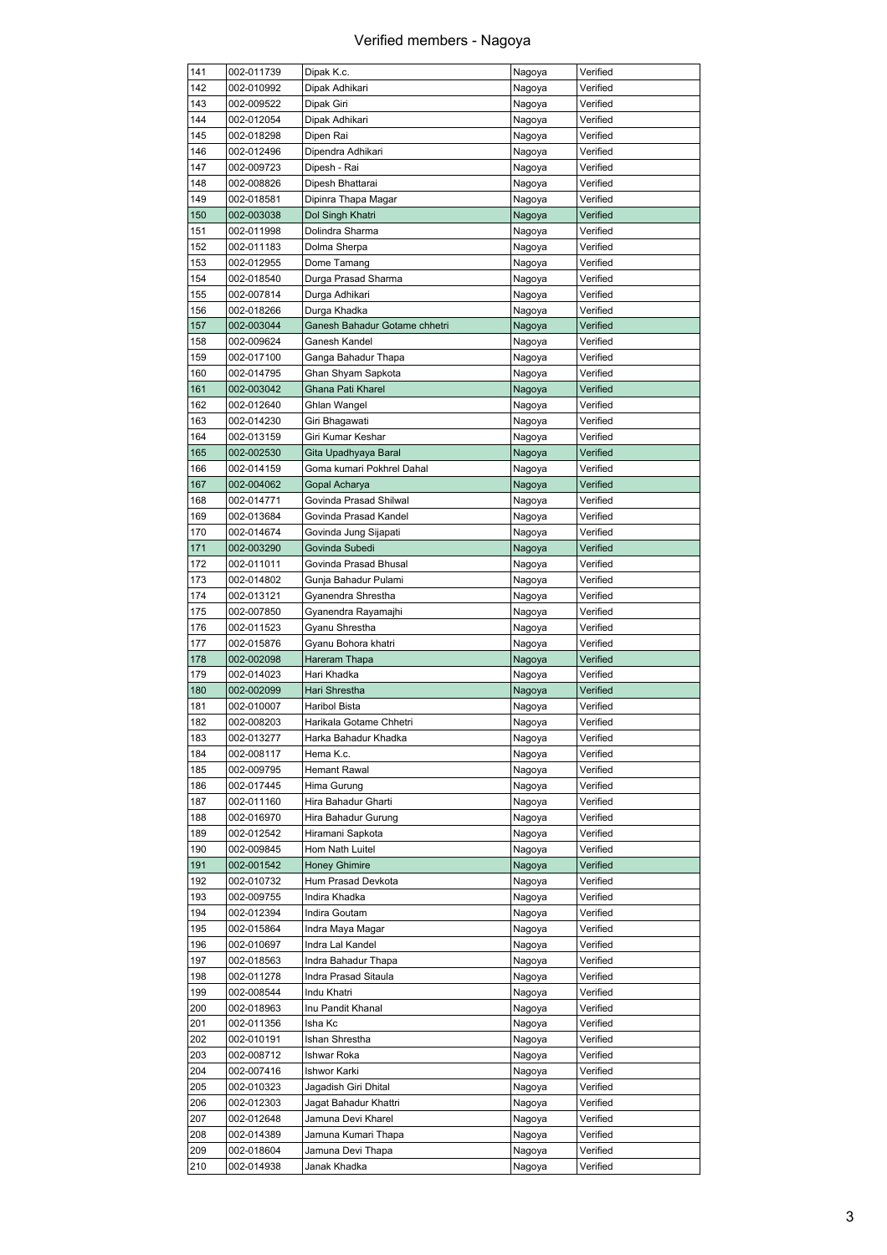r

| 141        | 002-011739               | Dipak K.c.                        | Nagoya           | Verified             |
|------------|--------------------------|-----------------------------------|------------------|----------------------|
| 142        | 002-010992               | Dipak Adhikari                    | Nagoya           | Verified             |
| 143        | 002-009522               | Dipak Giri                        | Nagoya           | Verified             |
| 144        | 002-012054               | Dipak Adhikari                    | Nagoya           | Verified             |
| 145        | 002-018298               | Dipen Rai                         | Nagoya           | Verified             |
| 146        | 002-012496               | Dipendra Adhikari                 | Nagoya           | Verified             |
| 147        | 002-009723               | Dipesh - Rai                      | Nagoya           | Verified             |
|            |                          |                                   |                  |                      |
| 148        | 002-008826               | Dipesh Bhattarai                  | Nagoya           | Verified             |
| 149        | 002-018581               | Dipinra Thapa Magar               | Nagoya           | Verified             |
| 150        | 002-003038               | Dol Singh Khatri                  | Nagoya           | Verified             |
| 151        | 002-011998               | Dolindra Sharma                   | Nagoya           | Verified             |
| 152        | 002-011183               | Dolma Sherpa                      | Nagoya           | Verified             |
| 153        | 002-012955               | Dome Tamang                       | Nagoya           | Verified             |
| 154        | 002-018540               | Durga Prasad Sharma               | Nagoya           | Verified             |
| 155        | 002-007814               | Durga Adhikari                    | Nagoya           | Verified             |
|            |                          |                                   |                  |                      |
| 156        | 002-018266               | Durga Khadka                      | Nagoya           | Verified             |
| 157        | 002-003044               | Ganesh Bahadur Gotame chhetri     | Nagoya           | Verified             |
| 158        | 002-009624               | Ganesh Kandel                     | Nagoya           | Verified             |
| 159        | 002-017100               | Ganga Bahadur Thapa               | Nagoya           | Verified             |
| 160        | 002-014795               | Ghan Shyam Sapkota                | Nagoya           | Verified             |
| 161        | 002-003042               | Ghana Pati Kharel                 | Nagoya           | Verified             |
| 162        | 002-012640               | Ghlan Wangel                      | Nagoya           | Verified             |
| 163        | 002-014230               | Giri Bhagawati                    | Nagoya           | Verified             |
| 164        | 002-013159               |                                   |                  | Verified             |
|            |                          | Giri Kumar Keshar                 | Nagoya           |                      |
| 165        | 002-002530               | Gita Upadhyaya Baral              | Nagoya           | Verified             |
| 166        | 002-014159               | Goma kumari Pokhrel Dahal         | Nagoya           | Verified             |
| 167        | 002-004062               | Gopal Acharya                     | Nagoya           | Verified             |
| 168        | 002-014771               | Govinda Prasad Shilwal            | Nagoya           | Verified             |
| 169        | 002-013684               | Govinda Prasad Kandel             | Nagoya           | Verified             |
| 170        | 002-014674               | Govinda Jung Sijapati             | Nagoya           | Verified             |
| 171        | 002-003290               | Govinda Subedi                    | Nagoya           | Verified             |
|            |                          |                                   |                  |                      |
| 172        | 002-011011               | Govinda Prasad Bhusal             | Nagoya           | Verified             |
| 173        | 002-014802               | Gunja Bahadur Pulami              | Nagoya           | Verified             |
| 174        | 002-013121               | Gyanendra Shrestha                | Nagoya           | Verified             |
| 175        | 002-007850               | Gyanendra Rayamajhi               | Nagoya           | Verified             |
| 176        | 002-011523               | Gyanu Shrestha                    | Nagoya           | Verified             |
| 177        | 002-015876               | Gyanu Bohora khatri               | Nagoya           | Verified             |
| 178        | 002-002098               | Hareram Thapa                     | Nagoya           | Verified             |
| 179        | 002-014023               | Hari Khadka                       | Nagoya           | Verified             |
| 180        | 002-002099               | Hari Shrestha                     | Nagoya           | Verified             |
|            |                          | <b>Haribol Bista</b>              |                  |                      |
| 181        | 002-010007               |                                   | Nagoya           | Verified             |
| 182        | 002-008203               | Harikala Gotame Chhetri           | Nagoya           | Verified             |
| 183        | 002-013277               | Harka Bahadur Khadka              | Nagoya           | Verified             |
| 184        | 002-008117               | Hema K.c.                         | Nagoya           | Verified             |
| 185        | 002-009795               | Hemant Rawal                      | Nagoya           | Verified             |
| 186        | 002-017445               | Hima Gurung                       | Nagoya           | Verified             |
| 187        | 002-011160               | Hira Bahadur Gharti               | Nagoya           | Verified             |
| 188        | 002-016970               | Hira Bahadur Gurung               | Nagoya           | Verified             |
|            |                          |                                   |                  |                      |
| 189        | 002-012542               | Hiramani Sapkota                  | Nagoya           | Verified             |
| 190        | 002-009845               | Hom Nath Luitel                   | Nagoya           | Verified             |
| 191        | 002-001542               | <b>Honey Ghimire</b>              | Nagoya           | Verified             |
| 192        | 002-010732               | Hum Prasad Devkota                | Nagoya           | Verified             |
| 193        | 002-009755               | Indira Khadka                     | Nagoya           | Verified             |
| 194        | 002-012394               | Indira Goutam                     | Nagoya           | Verified             |
| 195        | 002-015864               | Indra Maya Magar                  | Nagoya           | Verified             |
|            |                          |                                   |                  | Verified             |
| 196        | 002-010697               | Indra Lal Kandel                  | Nagoya           |                      |
| 197        | 002-018563               | Indra Bahadur Thapa               | Nagoya           | Verified             |
| 198        | 002-011278               | Indra Prasad Sitaula              | Nagoya           | Verified             |
| 199        | 002-008544               | Indu Khatri                       | Nagoya           | Verified             |
| 200        | 002-018963               | Inu Pandit Khanal                 | Nagoya           | Verified             |
| 201        | 002-011356               | Isha Kc                           | Nagoya           | Verified             |
| 202        | 002-010191               | Ishan Shrestha                    | Nagoya           | Verified             |
| 203        | 002-008712               | Ishwar Roka                       | Nagoya           | Verified             |
|            |                          |                                   |                  |                      |
| 204        | 002-007416               | Ishwor Karki                      | Nagoya           | Verified             |
| 205        | 002-010323               | Jagadish Giri Dhital              | Nagoya           | Verified             |
| 206        | 002-012303               | Jagat Bahadur Khattri             | Nagoya           | Verified             |
| 207        | 002-012648               | Jamuna Devi Kharel                | Nagoya           | Verified             |
| 208        | 002-014389               | Jamuna Kumari Thapa               | Nagoya           | Verified             |
|            |                          |                                   |                  |                      |
|            |                          |                                   |                  |                      |
| 209<br>210 | 002-018604<br>002-014938 | Jamuna Devi Thapa<br>Janak Khadka | Nagoya<br>Nagoya | Verified<br>Verified |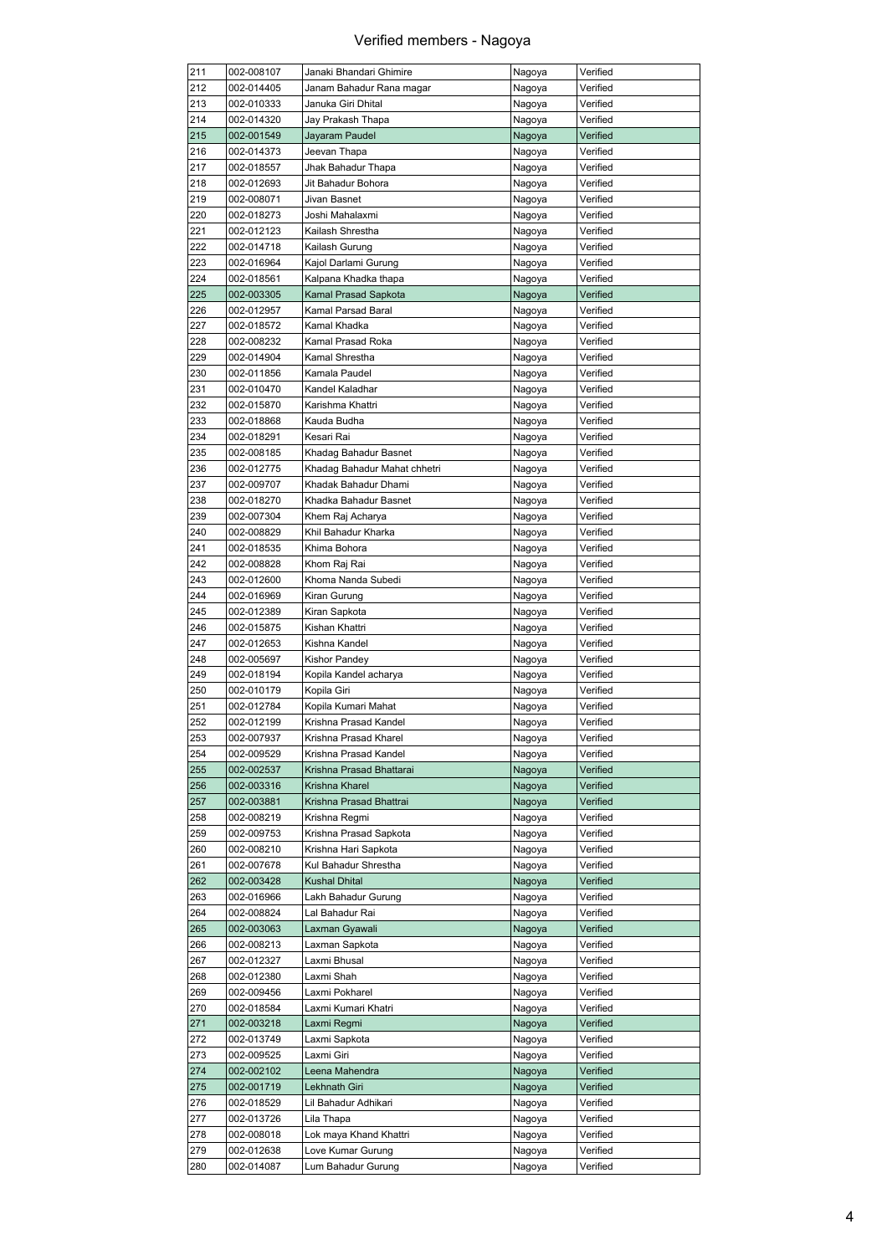| 211 | 002-008107 | Janaki Bhandari Ghimire      | Nagoya | Verified |
|-----|------------|------------------------------|--------|----------|
| 212 | 002-014405 | Janam Bahadur Rana magar     | Nagoya | Verified |
| 213 | 002-010333 | Januka Giri Dhital           | Nagoya | Verified |
| 214 | 002-014320 | Jay Prakash Thapa            | Nagoya | Verified |
| 215 | 002-001549 | Jayaram Paudel               | Nagoya | Verified |
| 216 | 002-014373 | Jeevan Thapa                 | Nagoya | Verified |
| 217 | 002-018557 | Jhak Bahadur Thapa           |        |          |
|     |            |                              | Nagoya | Verified |
| 218 | 002-012693 | Jit Bahadur Bohora           | Nagoya | Verified |
| 219 | 002-008071 | Jivan Basnet                 | Nagoya | Verified |
| 220 | 002-018273 | Joshi Mahalaxmi              | Nagoya | Verified |
| 221 | 002-012123 | Kailash Shrestha             | Nagoya | Verified |
| 222 | 002-014718 | Kailash Gurung               | Nagoya | Verified |
| 223 | 002-016964 | Kajol Darlami Gurung         | Nagoya | Verified |
| 224 | 002-018561 | Kalpana Khadka thapa         | Nagoya | Verified |
|     |            |                              |        |          |
| 225 | 002-003305 | Kamal Prasad Sapkota         | Nagoya | Verified |
| 226 | 002-012957 | Kamal Parsad Baral           | Nagoya | Verified |
| 227 | 002-018572 | Kamal Khadka                 | Nagoya | Verified |
| 228 | 002-008232 | Kamal Prasad Roka            | Nagoya | Verified |
| 229 | 002-014904 | Kamal Shrestha               | Nagoya | Verified |
| 230 | 002-011856 | Kamala Paudel                | Nagoya | Verified |
| 231 | 002-010470 | Kandel Kaladhar              | Nagoya | Verified |
| 232 |            |                              |        |          |
|     | 002-015870 | Karishma Khattri             | Nagoya | Verified |
| 233 | 002-018868 | Kauda Budha                  | Nagoya | Verified |
| 234 | 002-018291 | Kesari Rai                   | Nagoya | Verified |
| 235 | 002-008185 | Khadag Bahadur Basnet        | Nagoya | Verified |
| 236 | 002-012775 | Khadag Bahadur Mahat chhetri | Nagoya | Verified |
| 237 | 002-009707 | Khadak Bahadur Dhami         | Nagoya | Verified |
| 238 | 002-018270 | Khadka Bahadur Basnet        | Nagoya | Verified |
| 239 | 002-007304 | Khem Raj Acharya             | Nagoya | Verified |
| 240 | 002-008829 | Khil Bahadur Kharka          |        | Verified |
|     |            |                              | Nagoya |          |
| 241 | 002-018535 | Khima Bohora                 | Nagoya | Verified |
| 242 | 002-008828 | Khom Raj Rai                 | Nagoya | Verified |
| 243 | 002-012600 | Khoma Nanda Subedi           | Nagoya | Verified |
| 244 | 002-016969 | Kiran Gurung                 | Nagoya | Verified |
| 245 | 002-012389 | Kiran Sapkota                | Nagoya | Verified |
| 246 | 002-015875 | Kishan Khattri               | Nagoya | Verified |
| 247 | 002-012653 | Kishna Kandel                | Nagoya | Verified |
|     | 002-005697 |                              |        |          |
| 248 |            | Kishor Pandey                | Nagoya | Verified |
| 249 | 002-018194 | Kopila Kandel acharya        | Nagoya | Verified |
| 250 | 002-010179 | Kopila Giri                  | Nagoya | Verified |
| 251 | 002-012784 | Kopila Kumari Mahat          | Nagoya | Verified |
| 252 | 002-012199 | Krishna Prasad Kandel        | Nagoya | Verified |
| 253 | 002-007937 | Krishna Prasad Kharel        | Nagoya | Verified |
| 254 | 002-009529 | Krishna Prasad Kandel        | Nagoya | Verified |
| 255 | 002-002537 | Krishna Prasad Bhattarai     | Nagoya | Verified |
|     |            |                              |        |          |
| 256 | 002-003316 | Krishna Kharel               | Nagoya | Verified |
| 257 | 002-003881 | Krishna Prasad Bhattrai      | Nagoya | Verified |
| 258 | 002-008219 | Krishna Regmi                | Nagoya | Verified |
| 259 | 002-009753 | Krishna Prasad Sapkota       | Nagoya | Verified |
| 260 | 002-008210 | Krishna Hari Sapkota         | Nagoya | Verified |
| 261 | 002-007678 | Kul Bahadur Shrestha         | Nagoya | Verified |
| 262 | 002-003428 | <b>Kushal Dhital</b>         | Nagoya | Verified |
| 263 |            | Lakh Bahadur Gurung          |        | Verified |
|     | 002-016966 |                              | Nagoya |          |
| 264 | 002-008824 | Lal Bahadur Rai              | Nagoya | Verified |
| 265 | 002-003063 | Laxman Gyawali               | Nagoya | Verified |
| 266 | 002-008213 | Laxman Sapkota               | Nagoya | Verified |
| 267 | 002-012327 | Laxmi Bhusal                 | Nagoya | Verified |
| 268 | 002-012380 | Laxmi Shah                   | Nagoya | Verified |
| 269 | 002-009456 | Laxmi Pokharel               | Nagoya | Verified |
| 270 | 002-018584 | Laxmi Kumari Khatri          | Nagoya | Verified |
|     |            |                              |        |          |
| 271 | 002-003218 | Laxmi Regmi                  | Nagoya | Verified |
| 272 | 002-013749 | Laxmi Sapkota                | Nagoya | Verified |
| 273 | 002-009525 | Laxmi Giri                   | Nagoya | Verified |
| 274 | 002-002102 | Leena Mahendra               | Nagoya | Verified |
| 275 | 002-001719 | Lekhnath Giri                | Nagoya | Verified |
| 276 | 002-018529 | Lil Bahadur Adhikari         | Nagoya | Verified |
| 277 | 002-013726 | Lila Thapa                   | Nagoya | Verified |
|     |            | Lok maya Khand Khattri       |        |          |
| 278 | 002-008018 |                              | Nagoya | Verified |
| 279 | 002-012638 | Love Kumar Gurung            | Nagoya | Verified |
| 280 | 002-014087 | Lum Bahadur Gurung           | Nagoya | Verified |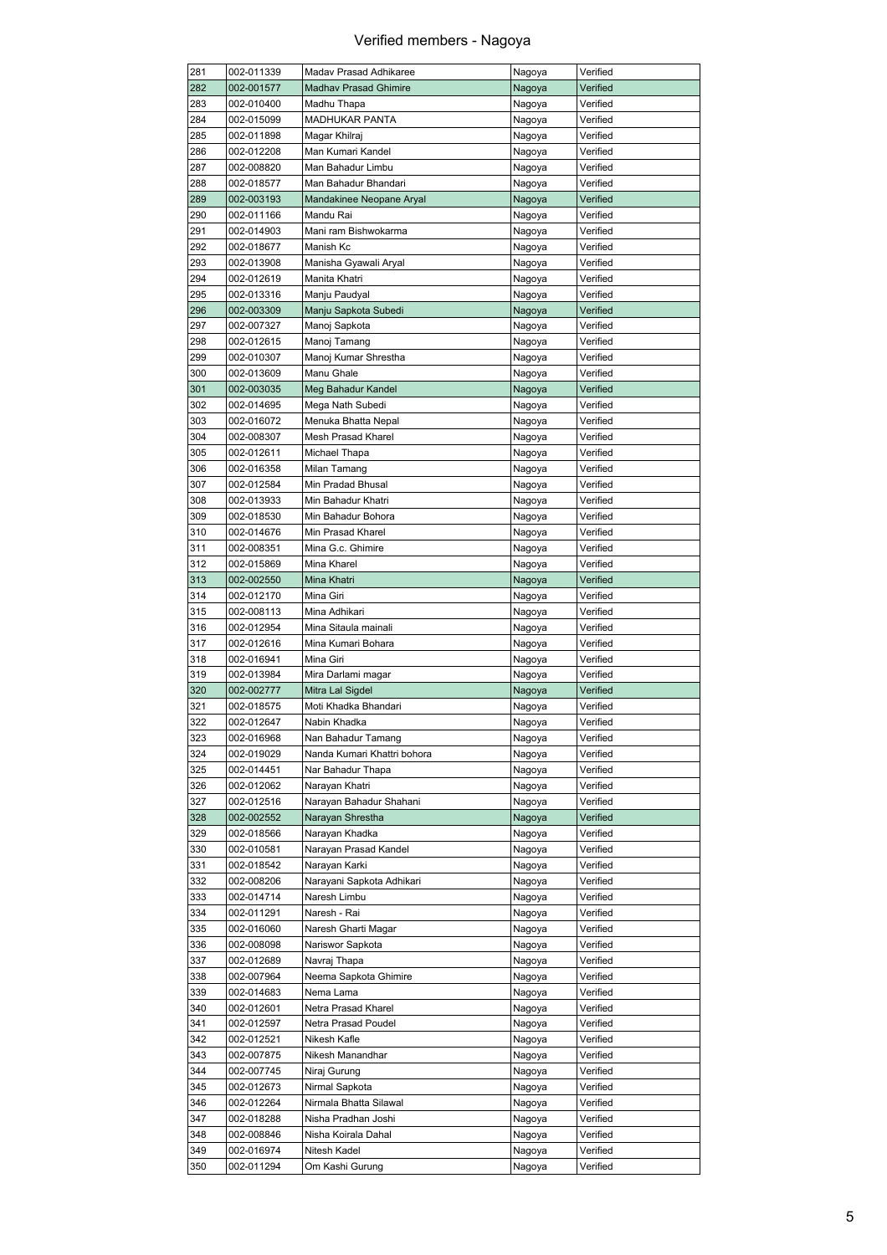| 281 | 002-011339 | Maday Prasad Adhikaree       | Nagoya | Verified |
|-----|------------|------------------------------|--------|----------|
| 282 | 002-001577 | <b>Madhav Prasad Ghimire</b> | Nagoya | Verified |
| 283 | 002-010400 | Madhu Thapa                  | Nagoya | Verified |
| 284 | 002-015099 | <b>MADHUKAR PANTA</b>        | Nagoya | Verified |
| 285 | 002-011898 | Magar Khilraj                | Nagoya | Verified |
| 286 | 002-012208 | Man Kumari Kandel            | Nagoya | Verified |
| 287 | 002-008820 | Man Bahadur Limbu            | Nagoya | Verified |
| 288 | 002-018577 | Man Bahadur Bhandari         | Nagoya | Verified |
| 289 | 002-003193 | Mandakinee Neopane Aryal     | Nagoya | Verified |
| 290 | 002-011166 | Mandu Rai                    | Nagoya | Verified |
| 291 | 002-014903 | Mani ram Bishwokarma         | Nagoya | Verified |
| 292 | 002-018677 | Manish Kc                    | Nagoya | Verified |
| 293 | 002-013908 | Manisha Gyawali Aryal        | Nagoya | Verified |
| 294 | 002-012619 | Manita Khatri                | Nagoya | Verified |
| 295 | 002-013316 | Manju Paudyal                | Nagoya | Verified |
| 296 | 002-003309 | Manju Sapkota Subedi         | Nagoya | Verified |
| 297 | 002-007327 | Manoj Sapkota                | Nagoya | Verified |
| 298 | 002-012615 | Manoj Tamang                 | Nagoya | Verified |
|     |            |                              |        |          |
| 299 | 002-010307 | Manoj Kumar Shrestha         | Nagoya | Verified |
| 300 | 002-013609 | Manu Ghale                   | Nagoya | Verified |
| 301 | 002-003035 | Meg Bahadur Kandel           | Nagoya | Verified |
| 302 | 002-014695 | Mega Nath Subedi             | Nagoya | Verified |
| 303 | 002-016072 | Menuka Bhatta Nepal          | Nagoya | Verified |
| 304 | 002-008307 | Mesh Prasad Kharel           | Nagoya | Verified |
| 305 | 002-012611 | Michael Thapa                | Nagoya | Verified |
| 306 | 002-016358 | Milan Tamang                 | Nagoya | Verified |
| 307 | 002-012584 | Min Pradad Bhusal            | Nagoya | Verified |
| 308 | 002-013933 | Min Bahadur Khatri           | Nagoya | Verified |
| 309 | 002-018530 | Min Bahadur Bohora           | Nagoya | Verified |
| 310 | 002-014676 | Min Prasad Kharel            | Nagoya | Verified |
| 311 | 002-008351 | Mina G.c. Ghimire            | Nagoya | Verified |
| 312 | 002-015869 | Mina Kharel                  | Nagoya | Verified |
| 313 | 002-002550 | Mina Khatri                  | Nagoya | Verified |
| 314 | 002-012170 | Mina Giri                    | Nagoya | Verified |
| 315 | 002-008113 | Mina Adhikari                | Nagoya | Verified |
| 316 | 002-012954 | Mina Sitaula mainali         | Nagoya | Verified |
| 317 | 002-012616 | Mina Kumari Bohara           | Nagoya | Verified |
| 318 | 002-016941 | Mina Giri                    | Nagoya | Verified |
| 319 | 002-013984 | Mira Darlami magar           | Nagoya | Verified |
| 320 | 002-002777 | Mitra Lal Sigdel             | Nagoya | Verified |
| 321 | 002-018575 | Moti Khadka Bhandari         |        | Verified |
| 322 |            |                              | Nagoya |          |
|     | 002-012647 | Nabin Khadka                 | Nagoya | Verified |
| 323 | 002-016968 | Nan Bahadur Tamang           | Nagoya | Verified |
| 324 | 002-019029 | Nanda Kumari Khattri bohora  | Nagoya | Verified |
| 325 | 002-014451 | Nar Bahadur Thapa            | Nagoya | Verified |
| 326 | 002-012062 | Narayan Khatri               | Nagoya | Verified |
| 327 | 002-012516 | Narayan Bahadur Shahani      | Nagoya | Verified |
| 328 | 002-002552 | Narayan Shrestha             | Nagoya | Verified |
| 329 | 002-018566 | Narayan Khadka               | Nagoya | Verified |
| 330 | 002-010581 | Narayan Prasad Kandel        | Nagoya | Verified |
| 331 | 002-018542 | Narayan Karki                | Nagoya | Verified |
| 332 | 002-008206 | Narayani Sapkota Adhikari    | Nagoya | Verified |
| 333 | 002-014714 | Naresh Limbu                 | Nagoya | Verified |
| 334 | 002-011291 | Naresh - Rai                 | Nagoya | Verified |
| 335 | 002-016060 | Naresh Gharti Magar          | Nagoya | Verified |
| 336 | 002-008098 | Nariswor Sapkota             | Nagoya | Verified |
| 337 | 002-012689 | Navraj Thapa                 | Nagoya | Verified |
| 338 | 002-007964 | Neema Sapkota Ghimire        | Nagoya | Verified |
| 339 | 002-014683 | Nema Lama                    | Nagoya | Verified |
| 340 | 002-012601 | Netra Prasad Kharel          | Nagoya | Verified |
| 341 | 002-012597 | Netra Prasad Poudel          | Nagoya | Verified |
| 342 | 002-012521 | Nikesh Kafle                 |        | Verified |
|     |            |                              | Nagoya |          |
| 343 | 002-007875 | Nikesh Manandhar             | Nagoya | Verified |
| 344 | 002-007745 | Niraj Gurung                 | Nagoya | Verified |
| 345 | 002-012673 | Nirmal Sapkota               | Nagoya | Verified |
| 346 | 002-012264 | Nirmala Bhatta Silawal       | Nagoya | Verified |
| 347 | 002-018288 | Nisha Pradhan Joshi          | Nagoya | Verified |
| 348 | 002-008846 | Nisha Koirala Dahal          | Nagoya | Verified |
| 349 | 002-016974 | Nitesh Kadel                 | Nagoya | Verified |
| 350 | 002-011294 | Om Kashi Gurung              | Nagoya | Verified |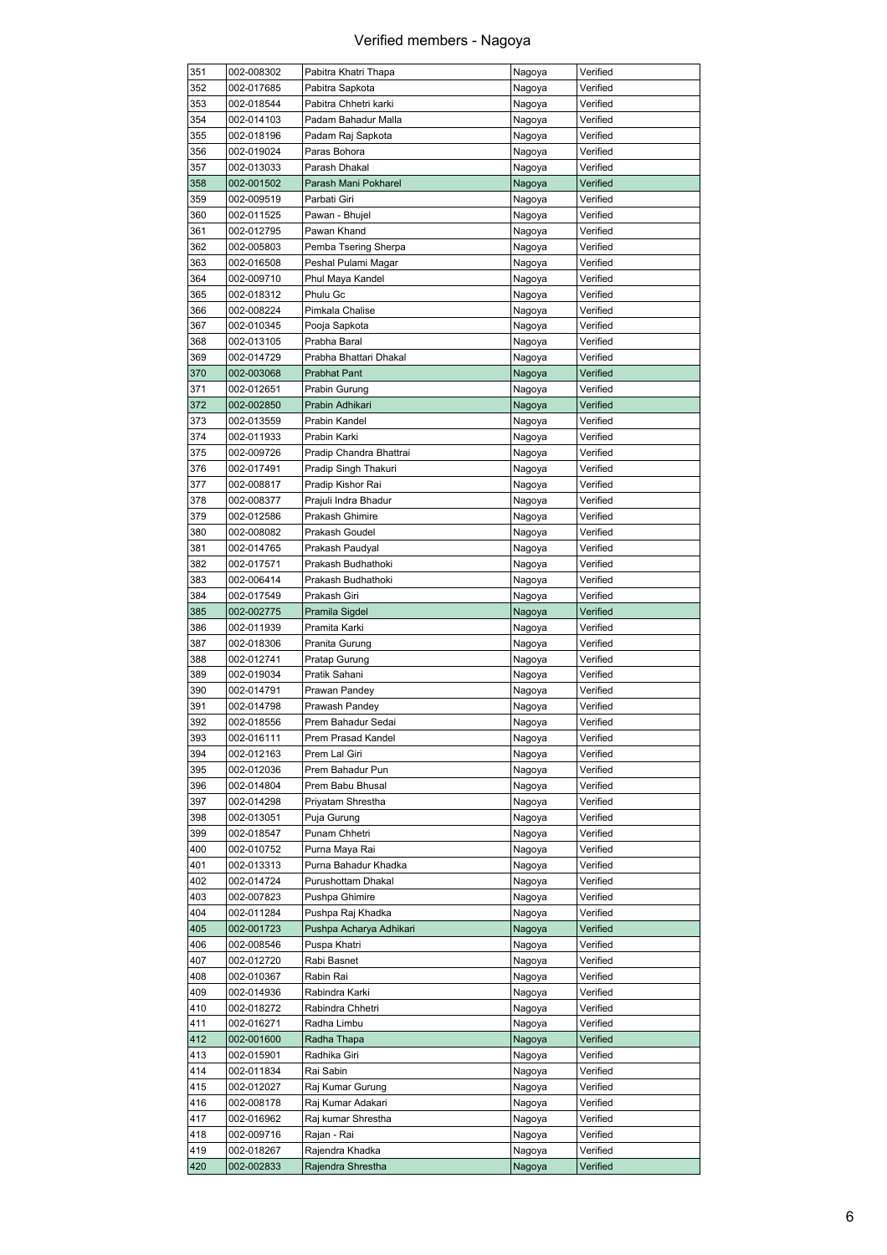| 351 | 002-008302 | Pabitra Khatri Thapa    | Nagoya | Verified |
|-----|------------|-------------------------|--------|----------|
| 352 | 002-017685 | Pabitra Sapkota         | Nagoya | Verified |
| 353 | 002-018544 | Pabitra Chhetri karki   | Nagoya | Verified |
| 354 | 002-014103 | Padam Bahadur Malla     | Nagoya | Verified |
| 355 | 002-018196 | Padam Raj Sapkota       | Nagoya | Verified |
| 356 | 002-019024 | Paras Bohora            | Nagoya | Verified |
| 357 |            |                         |        | Verified |
|     | 002-013033 | Parash Dhakal           | Nagoya |          |
| 358 | 002-001502 | Parash Mani Pokharel    | Nagoya | Verified |
| 359 | 002-009519 | Parbati Giri            | Nagoya | Verified |
| 360 | 002-011525 | Pawan - Bhujel          | Nagoya | Verified |
| 361 | 002-012795 | Pawan Khand             | Nagoya | Verified |
| 362 | 002-005803 | Pemba Tsering Sherpa    | Nagoya | Verified |
| 363 | 002-016508 | Peshal Pulami Magar     | Nagoya | Verified |
| 364 | 002-009710 | Phul Maya Kandel        | Nagoya | Verified |
|     |            |                         |        |          |
| 365 | 002-018312 | Phulu Gc                | Nagoya | Verified |
| 366 | 002-008224 | Pimkala Chalise         | Nagoya | Verified |
| 367 | 002-010345 | Pooja Sapkota           | Nagoya | Verified |
| 368 | 002-013105 | Prabha Baral            | Nagoya | Verified |
| 369 | 002-014729 | Prabha Bhattari Dhakal  | Nagoya | Verified |
| 370 | 002-003068 | <b>Prabhat Pant</b>     | Nagoya | Verified |
| 371 | 002-012651 | Prabin Gurung           | Nagoya | Verified |
|     |            |                         |        |          |
| 372 | 002-002850 | Prabin Adhikari         | Nagoya | Verified |
| 373 | 002-013559 | Prabin Kandel           | Nagoya | Verified |
| 374 | 002-011933 | Prabin Karki            | Nagoya | Verified |
| 375 | 002-009726 | Pradip Chandra Bhattrai | Nagoya | Verified |
| 376 | 002-017491 | Pradip Singh Thakuri    | Nagoya | Verified |
| 377 | 002-008817 | Pradip Kishor Rai       | Nagoya | Verified |
| 378 | 002-008377 | Prajuli Indra Bhadur    | Nagoya | Verified |
| 379 | 002-012586 | Prakash Ghimire         |        | Verified |
|     |            |                         | Nagoya |          |
| 380 | 002-008082 | Prakash Goudel          | Nagoya | Verified |
| 381 | 002-014765 | Prakash Paudyal         | Nagoya | Verified |
| 382 | 002-017571 | Prakash Budhathoki      | Nagoya | Verified |
| 383 | 002-006414 | Prakash Budhathoki      | Nagoya | Verified |
| 384 | 002-017549 | Prakash Giri            | Nagoya | Verified |
| 385 | 002-002775 | Pramila Sigdel          | Nagoya | Verified |
| 386 | 002-011939 | Pramita Karki           | Nagoya | Verified |
| 387 | 002-018306 | Pranita Gurung          | Nagoya | Verified |
|     |            |                         |        |          |
| 388 | 002-012741 | Pratap Gurung           | Nagoya | Verified |
| 389 | 002-019034 | Pratik Sahani           | Nagoya | Verified |
| 390 | 002-014791 | Prawan Pandey           | Nagoya | Verified |
| 391 | 002-014798 | Prawash Pandey          | Nagoya | Verified |
| 392 | 002-018556 | Prem Bahadur Sedai      | Nagoya | Verified |
| 393 | 002-016111 | Prem Prasad Kandel      | Nagoya | Verified |
| 394 | 002-012163 | Prem Lal Giri           | Nagoya | Verified |
| 395 | 002-012036 | Prem Bahadur Pun        | Nagoya | Verified |
|     |            |                         |        |          |
| 396 | 002-014804 | Prem Babu Bhusal        | Nagoya | Verified |
| 397 | 002-014298 | Priyatam Shrestha       | Nagoya | Verified |
| 398 | 002-013051 | Puja Gurung             | Nagoya | Verified |
| 399 | 002-018547 | Punam Chhetri           | Nagoya | Verified |
| 400 | 002-010752 | Purna Maya Rai          | Nagoya | Verified |
| 401 | 002-013313 | Purna Bahadur Khadka    | Nagoya | Verified |
| 402 | 002-014724 | Purushottam Dhakal      | Nagoya | Verified |
| 403 |            | Pushpa Ghimire          |        |          |
|     | 002-007823 |                         | Nagoya | Verified |
| 404 | 002-011284 | Pushpa Raj Khadka       | Nagoya | Verified |
| 405 | 002-001723 | Pushpa Acharya Adhikari | Nagoya | Verified |
| 406 | 002-008546 | Puspa Khatri            | Nagoya | Verified |
| 407 | 002-012720 | Rabi Basnet             | Nagoya | Verified |
| 408 | 002-010367 | Rabin Rai               | Nagoya | Verified |
| 409 | 002-014936 | Rabindra Karki          | Nagoya | Verified |
| 410 | 002-018272 | Rabindra Chhetri        | Nagoya | Verified |
|     |            |                         |        |          |
| 411 | 002-016271 | Radha Limbu             | Nagoya | Verified |
| 412 | 002-001600 | Radha Thapa             | Nagoya | Verified |
| 413 | 002-015901 | Radhika Giri            | Nagoya | Verified |
| 414 | 002-011834 | Rai Sabin               | Nagoya | Verified |
| 415 | 002-012027 | Raj Kumar Gurung        | Nagoya | Verified |
| 416 | 002-008178 | Raj Kumar Adakari       | Nagoya | Verified |
| 417 | 002-016962 | Raj kumar Shrestha      | Nagoya | Verified |
|     |            |                         |        |          |
| 418 | 002-009716 | Rajan - Rai             | Nagoya | Verified |
| 419 | 002-018267 | Rajendra Khadka         | Nagoya | Verified |
| 420 | 002-002833 | Rajendra Shrestha       | Nagoya | Verified |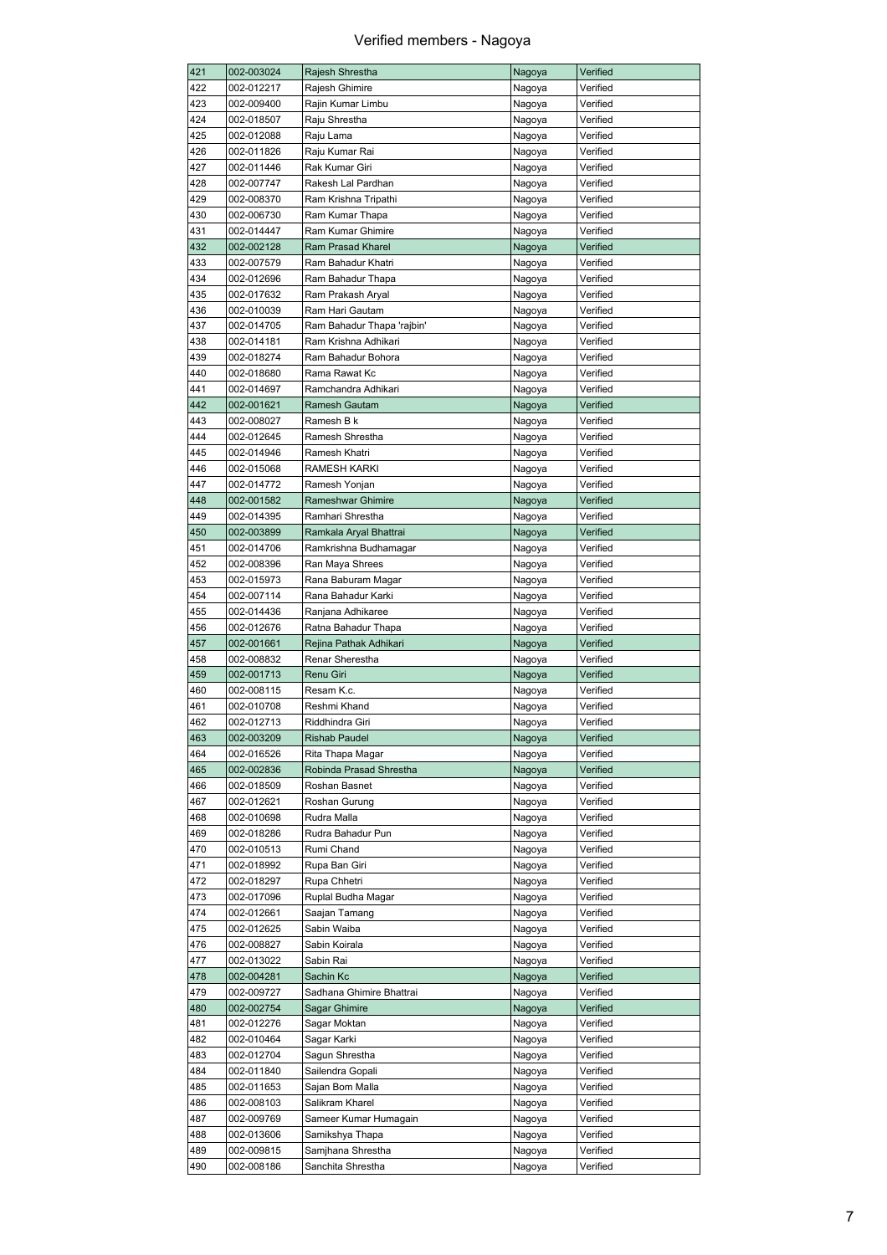| 421 | 002-003024               | Rajesh Shrestha            | Nagoya | Verified |
|-----|--------------------------|----------------------------|--------|----------|
| 422 | 002-012217               | Rajesh Ghimire             | Nagoya | Verified |
| 423 | 002-009400               | Rajin Kumar Limbu          | Nagoya | Verified |
| 424 | 002-018507               | Raju Shrestha              | Nagoya | Verified |
| 425 | 002-012088               | Raju Lama                  | Nagoya | Verified |
| 426 | 002-011826               | Raju Kumar Rai             | Nagoya | Verified |
|     |                          |                            |        |          |
| 427 | 002-011446               | Rak Kumar Giri             | Nagoya | Verified |
| 428 | 002-007747               | Rakesh Lal Pardhan         | Nagoya | Verified |
| 429 | 002-008370               | Ram Krishna Tripathi       | Nagoya | Verified |
| 430 | 002-006730               | Ram Kumar Thapa            | Nagoya | Verified |
| 431 | 002-014447               | Ram Kumar Ghimire          | Nagoya | Verified |
| 432 | 002-002128               | <b>Ram Prasad Kharel</b>   | Nagoya | Verified |
| 433 | 002-007579               | Ram Bahadur Khatri         | Nagoya | Verified |
| 434 | 002-012696               | Ram Bahadur Thapa          |        | Verified |
|     |                          |                            | Nagoya |          |
| 435 | 002-017632               | Ram Prakash Aryal          | Nagoya | Verified |
| 436 | 002-010039               | Ram Hari Gautam            | Nagoya | Verified |
| 437 | 002-014705               | Ram Bahadur Thapa 'rajbin' | Nagoya | Verified |
| 438 | 002-014181               | Ram Krishna Adhikari       | Nagoya | Verified |
| 439 | 002-018274               | Ram Bahadur Bohora         | Nagoya | Verified |
| 440 | 002-018680               | Rama Rawat Kc              | Nagoya | Verified |
| 441 | 002-014697               | Ramchandra Adhikari        | Nagoya | Verified |
|     |                          |                            |        |          |
| 442 | 002-001621               | Ramesh Gautam              | Nagoya | Verified |
| 443 | 002-008027               | Ramesh B k                 | Nagoya | Verified |
| 444 | 002-012645               | Ramesh Shrestha            | Nagoya | Verified |
| 445 | 002-014946               | Ramesh Khatri              | Nagoya | Verified |
| 446 | 002-015068               | RAMESH KARKI               | Nagoya | Verified |
| 447 | 002-014772               | Ramesh Yonjan              | Nagoya | Verified |
| 448 | 002-001582               | Rameshwar Ghimire          | Nagoya | Verified |
| 449 | 002-014395               | Ramhari Shrestha           | Nagoya | Verified |
|     |                          |                            |        |          |
| 450 | 002-003899               | Ramkala Aryal Bhattrai     | Nagoya | Verified |
| 451 | 002-014706               | Ramkrishna Budhamagar      | Nagoya | Verified |
| 452 | 002-008396               | Ran Maya Shrees            | Nagoya | Verified |
| 453 | 002-015973               | Rana Baburam Magar         | Nagoya | Verified |
| 454 | 002-007114               | Rana Bahadur Karki         | Nagoya | Verified |
| 455 | 002-014436               | Ranjana Adhikaree          | Nagoya | Verified |
| 456 | 002-012676               | Ratna Bahadur Thapa        | Nagoya | Verified |
| 457 | 002-001661               | Rejina Pathak Adhikari     | Nagoya | Verified |
| 458 | 002-008832               | Renar Sherestha            |        | Verified |
|     |                          |                            | Nagoya |          |
| 459 | 002-001713               | Renu Giri                  | Nagoya | Verified |
| 460 | 002-008115               | Resam K.c.                 | Nagoya | Verified |
| 461 | 002-010708               | Reshmi Khand               | Nagoya | Verified |
| 462 | 002-012713               | Riddhindra Giri            | Nagoya | Verified |
| 463 | 002-003209               | <b>Rishab Paudel</b>       | Nagoya | Verified |
| 464 | 002-016526               | Rita Thapa Magar           | Nagoya | Verified |
| 465 | 002-002836               | Robinda Prasad Shrestha    | Nagoya | Verified |
| 466 | 002-018509               | Roshan Basnet              | Nagoya | Verified |
|     |                          |                            |        |          |
| 467 | 002-012621               | Roshan Gurung              | Nagoya | Verified |
| 468 | 002-010698               | Rudra Malla                | Nagoya | Verified |
| 469 | 002-018286               | Rudra Bahadur Pun          | Nagoya | Verified |
| 470 | 002-010513               | Rumi Chand                 | Nagoya | Verified |
| 471 | 002-018992               | Rupa Ban Giri              | Nagoya | Verified |
| 472 | 002-018297               | Rupa Chhetri               | Nagoya | Verified |
| 473 | 002-017096               | Ruplal Budha Magar         | Nagoya | Verified |
| 474 | 002-012661               | Saajan Tamang              |        | Verified |
|     |                          |                            | Nagoya |          |
| 475 | 002-012625               | Sabin Waiba                | Nagoya | Verified |
| 476 | 002-008827               | Sabin Koirala              | Nagoya | Verified |
| 477 | 002-013022               | Sabin Rai                  | Nagoya | Verified |
| 478 | 002-004281               | Sachin Kc                  | Nagoya | Verified |
| 479 | 002-009727               | Sadhana Ghimire Bhattrai   | Nagoya | Verified |
| 480 | 002-002754               | Sagar Ghimire              | Nagoya | Verified |
| 481 | 002-012276               | Sagar Moktan               | Nagoya | Verified |
| 482 |                          |                            |        |          |
|     | 002-010464               | Sagar Karki                | Nagoya | Verified |
| 483 | 002-012704               | Sagun Shrestha             | Nagoya | Verified |
| 484 | 002-011840               | Sailendra Gopali           | Nagoya | Verified |
| 485 | 002-011653               | Sajan Bom Malla            | Nagoya | Verified |
| 486 | 002-008103               | Salikram Kharel            | Nagoya | Verified |
| 487 | 002-009769               | Sameer Kumar Humagain      | Nagoya | Verified |
| 488 | 002-013606               | Samikshya Thapa            | Nagoya | Verified |
| 489 |                          | Samjhana Shrestha          |        |          |
|     |                          |                            | Nagoya | Verified |
| 490 | 002-009815<br>002-008186 | Sanchita Shrestha          | Nagoya | Verified |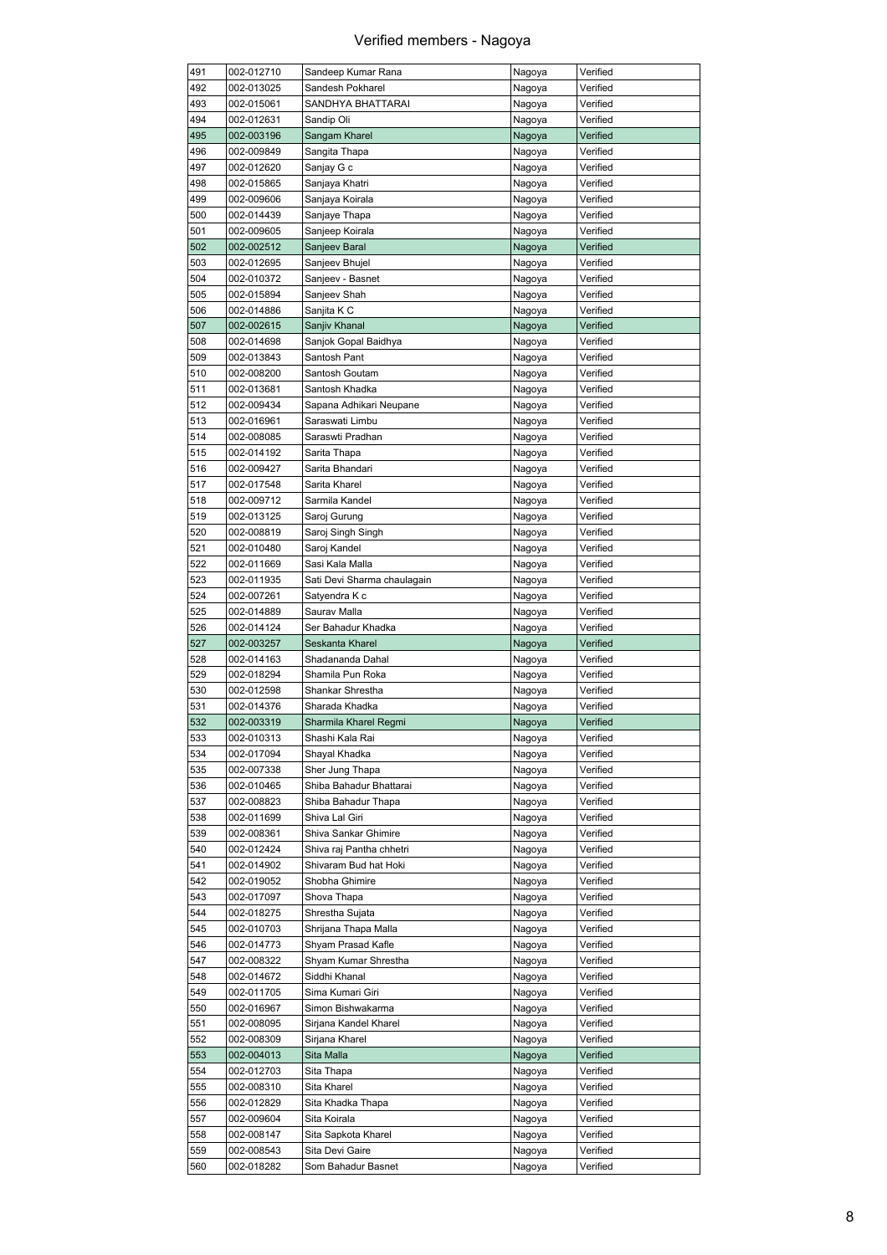| 491 | 002-012710 | Sandeep Kumar Rana          | Nagoya | Verified |
|-----|------------|-----------------------------|--------|----------|
| 492 | 002-013025 | Sandesh Pokharel            | Nagoya | Verified |
| 493 | 002-015061 | SANDHYA BHATTARAI           | Nagoya | Verified |
| 494 | 002-012631 | Sandip Oli                  | Nagoya | Verified |
| 495 | 002-003196 | Sangam Kharel               | Nagoya | Verified |
| 496 | 002-009849 | Sangita Thapa               | Nagoya | Verified |
| 497 |            |                             |        | Verified |
|     | 002-012620 | Sanjay G c                  | Nagoya |          |
| 498 | 002-015865 | Sanjaya Khatri              | Nagoya | Verified |
| 499 | 002-009606 | Sanjaya Koirala             | Nagoya | Verified |
| 500 | 002-014439 | Sanjaye Thapa               | Nagoya | Verified |
| 501 | 002-009605 | Sanjeep Koirala             | Nagoya | Verified |
| 502 | 002-002512 | Sanjeev Baral               | Nagoya | Verified |
| 503 | 002-012695 | Sanjeev Bhujel              | Nagoya | Verified |
| 504 | 002-010372 | Sanjeev - Basnet            | Nagoya | Verified |
| 505 | 002-015894 | Sanjeev Shah                | Nagoya | Verified |
|     |            |                             |        |          |
| 506 | 002-014886 | Sanjita K C                 | Nagoya | Verified |
| 507 | 002-002615 | Sanjiv Khanal               | Nagoya | Verified |
| 508 | 002-014698 | Sanjok Gopal Baidhya        | Nagoya | Verified |
| 509 | 002-013843 | Santosh Pant                | Nagoya | Verified |
| 510 | 002-008200 | Santosh Goutam              | Nagoya | Verified |
| 511 | 002-013681 | Santosh Khadka              | Nagoya | Verified |
| 512 | 002-009434 | Sapana Adhikari Neupane     | Nagoya | Verified |
| 513 | 002-016961 | Saraswati Limbu             | Nagoya | Verified |
|     |            |                             |        |          |
| 514 | 002-008085 | Saraswti Pradhan            | Nagoya | Verified |
| 515 | 002-014192 | Sarita Thapa                | Nagoya | Verified |
| 516 | 002-009427 | Sarita Bhandari             | Nagoya | Verified |
| 517 | 002-017548 | Sarita Kharel               | Nagoya | Verified |
| 518 | 002-009712 | Sarmila Kandel              | Nagoya | Verified |
| 519 | 002-013125 | Saroj Gurung                | Nagoya | Verified |
| 520 | 002-008819 | Saroj Singh Singh           | Nagoya | Verified |
| 521 | 002-010480 | Saroj Kandel                | Nagoya | Verified |
|     |            |                             |        |          |
| 522 | 002-011669 | Sasi Kala Malla             | Nagoya | Verified |
| 523 | 002-011935 | Sati Devi Sharma chaulagain | Nagoya | Verified |
| 524 | 002-007261 | Satyendra K c               | Nagoya | Verified |
| 525 | 002-014889 | Saurav Malla                | Nagoya | Verified |
| 526 | 002-014124 | Ser Bahadur Khadka          | Nagoya | Verified |
|     |            |                             |        |          |
|     |            | Seskanta Kharel             |        | Verified |
| 527 | 002-003257 |                             | Nagoya |          |
| 528 | 002-014163 | Shadananda Dahal            | Nagoya | Verified |
| 529 | 002-018294 | Shamila Pun Roka            | Nagoya | Verified |
| 530 | 002-012598 | Shankar Shrestha            | Nagoya | Verified |
| 531 | 002-014376 | Sharada Khadka              | Nagoya | Verified |
| 532 | 002-003319 | Sharmila Kharel Regmi       | Nagoya | Verified |
| 533 | 002-010313 | Shashi Kala Rai             | Nagoya | Verified |
| 534 | 002-017094 | Shayal Khadka               | Nagoya | Verified |
| 535 | 002-007338 | Sher Jung Thapa             | Nagoya | Verified |
|     |            | Shiba Bahadur Bhattarai     |        |          |
| 536 | 002-010465 |                             | Nagoya | Verified |
| 537 | 002-008823 | Shiba Bahadur Thapa         | Nagoya | Verified |
| 538 | 002-011699 | Shiva Lal Giri              | Nagoya | Verified |
| 539 | 002-008361 | Shiva Sankar Ghimire        | Nagoya | Verified |
| 540 | 002-012424 | Shiva raj Pantha chhetri    | Nagoya | Verified |
| 541 | 002-014902 | Shivaram Bud hat Hoki       | Nagoya | Verified |
| 542 | 002-019052 | Shobha Ghimire              | Nagoya | Verified |
| 543 | 002-017097 | Shova Thapa                 | Nagoya | Verified |
| 544 | 002-018275 | Shrestha Sujata             | Nagoya | Verified |
|     |            |                             |        |          |
| 545 | 002-010703 | Shrijana Thapa Malla        | Nagoya | Verified |
| 546 | 002-014773 | Shyam Prasad Kafle          | Nagoya | Verified |
| 547 | 002-008322 | Shyam Kumar Shrestha        | Nagoya | Verified |
| 548 | 002-014672 | Siddhi Khanal               | Nagoya | Verified |
| 549 | 002-011705 | Sima Kumari Giri            | Nagoya | Verified |
| 550 | 002-016967 | Simon Bishwakarma           | Nagoya | Verified |
| 551 | 002-008095 | Sirjana Kandel Kharel       | Nagoya | Verified |
| 552 | 002-008309 | Sirjana Kharel              | Nagoya | Verified |
|     |            |                             |        |          |
| 553 | 002-004013 | Sita Malla                  | Nagoya | Verified |
| 554 | 002-012703 | Sita Thapa                  | Nagoya | Verified |
| 555 | 002-008310 | Sita Kharel                 | Nagoya | Verified |
| 556 | 002-012829 | Sita Khadka Thapa           | Nagoya | Verified |
| 557 | 002-009604 | Sita Koirala                | Nagoya | Verified |
| 558 | 002-008147 | Sita Sapkota Kharel         | Nagoya | Verified |
| 559 | 002-008543 | Sita Devi Gaire             | Nagoya | Verified |
| 560 | 002-018282 | Som Bahadur Basnet          | Nagoya | Verified |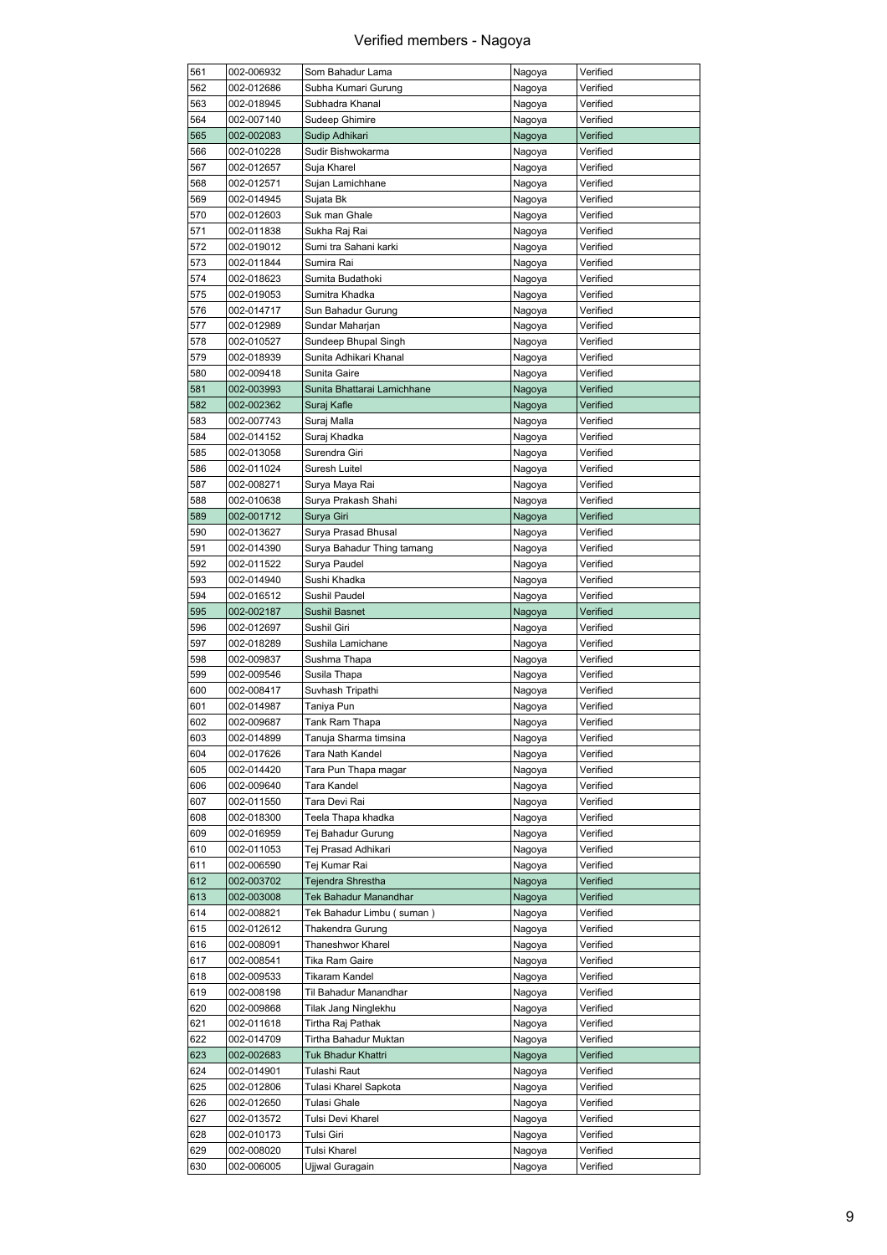| 561 | 002-006932 | Som Bahadur Lama            | Nagoya | Verified |
|-----|------------|-----------------------------|--------|----------|
| 562 | 002-012686 | Subha Kumari Gurung         | Nagoya | Verified |
| 563 | 002-018945 | Subhadra Khanal             | Nagoya | Verified |
| 564 | 002-007140 | Sudeep Ghimire              | Nagoya | Verified |
| 565 | 002-002083 | Sudip Adhikari              | Nagoya | Verified |
| 566 | 002-010228 | Sudir Bishwokarma           | Nagoya | Verified |
| 567 |            |                             |        | Verified |
|     | 002-012657 | Suja Kharel                 | Nagoya |          |
| 568 | 002-012571 | Sujan Lamichhane            | Nagoya | Verified |
| 569 | 002-014945 | Sujata Bk                   | Nagoya | Verified |
| 570 | 002-012603 | Suk man Ghale               | Nagoya | Verified |
| 571 | 002-011838 | Sukha Raj Rai               | Nagoya | Verified |
| 572 | 002-019012 | Sumi tra Sahani karki       | Nagoya | Verified |
| 573 | 002-011844 | Sumira Rai                  | Nagoya | Verified |
| 574 | 002-018623 | Sumita Budathoki            | Nagoya | Verified |
|     |            |                             |        |          |
| 575 | 002-019053 | Sumitra Khadka              | Nagoya | Verified |
| 576 | 002-014717 | Sun Bahadur Gurung          | Nagoya | Verified |
| 577 | 002-012989 | Sundar Maharjan             | Nagoya | Verified |
| 578 | 002-010527 | Sundeep Bhupal Singh        | Nagoya | Verified |
| 579 | 002-018939 | Sunita Adhikari Khanal      | Nagoya | Verified |
| 580 | 002-009418 | Sunita Gaire                | Nagoya | Verified |
| 581 | 002-003993 | Sunita Bhattarai Lamichhane | Nagoya | Verified |
| 582 | 002-002362 | Suraj Kafle                 | Nagoya | Verified |
|     | 002-007743 |                             |        |          |
| 583 |            | Suraj Malla                 | Nagoya | Verified |
| 584 | 002-014152 | Suraj Khadka                | Nagoya | Verified |
| 585 | 002-013058 | Surendra Giri               | Nagoya | Verified |
| 586 | 002-011024 | Suresh Luitel               | Nagoya | Verified |
| 587 | 002-008271 | Surya Maya Rai              | Nagoya | Verified |
| 588 | 002-010638 | Surya Prakash Shahi         | Nagoya | Verified |
| 589 | 002-001712 | Surya Giri                  | Nagoya | Verified |
| 590 | 002-013627 | Surya Prasad Bhusal         | Nagoya | Verified |
| 591 |            |                             |        |          |
|     | 002-014390 | Surya Bahadur Thing tamang  | Nagoya | Verified |
| 592 | 002-011522 | Surya Paudel                | Nagoya | Verified |
| 593 | 002-014940 | Sushi Khadka                | Nagoya | Verified |
| 594 | 002-016512 | Sushil Paudel               | Nagoya | Verified |
| 595 | 002-002187 | Sushil Basnet               | Nagoya | Verified |
| 596 | 002-012697 | Sushil Giri                 | Nagoya | Verified |
| 597 | 002-018289 | Sushila Lamichane           | Nagoya | Verified |
| 598 | 002-009837 | Sushma Thapa                | Nagoya | Verified |
| 599 | 002-009546 | Susila Thapa                |        | Verified |
|     |            |                             | Nagoya |          |
| 600 | 002-008417 | Suvhash Tripathi            | Nagoya | Verified |
| 601 | 002-014987 | Taniya Pun                  | Nagoya | Verified |
| 602 | 002-009687 | Tank Ram Thapa              | Nagoya | Verified |
| 603 | 002-014899 | Tanuja Sharma timsina       | Nagoya | Verified |
| 604 | 002-017626 | Tara Nath Kandel            | Nagoya | Verified |
| 605 | 002-014420 | Tara Pun Thapa magar        | Nagoya | Verified |
| 606 | 002-009640 | Tara Kandel                 | Nagoya | Verified |
| 607 | 002-011550 | Tara Devi Rai               | Nagoya | Verified |
|     |            |                             |        |          |
| 608 | 002-018300 | Teela Thapa khadka          | Nagoya | Verified |
| 609 | 002-016959 | Tej Bahadur Gurung          | Nagoya | Verified |
| 610 | 002-011053 | Tej Prasad Adhikari         | Nagoya | Verified |
| 611 | 002-006590 | Tej Kumar Rai               | Nagoya | Verified |
| 612 | 002-003702 | Tejendra Shrestha           | Nagoya | Verified |
| 613 | 002-003008 | Tek Bahadur Manandhar       | Nagoya | Verified |
| 614 | 002-008821 | Tek Bahadur Limbu (suman)   | Nagoya | Verified |
| 615 | 002-012612 | Thakendra Gurung            | Nagoya | Verified |
|     |            |                             |        |          |
| 616 | 002-008091 | Thaneshwor Kharel           | Nagoya | Verified |
| 617 | 002-008541 | Tika Ram Gaire              | Nagoya | Verified |
| 618 | 002-009533 | Tikaram Kandel              | Nagoya | Verified |
| 619 | 002-008198 | Til Bahadur Manandhar       | Nagoya | Verified |
| 620 | 002-009868 | Tilak Jang Ninglekhu        | Nagoya | Verified |
| 621 | 002-011618 | Tirtha Raj Pathak           | Nagoya | Verified |
| 622 | 002-014709 | Tirtha Bahadur Muktan       | Nagoya | Verified |
| 623 |            |                             |        |          |
|     | 002-002683 | Tuk Bhadur Khattri          | Nagoya | Verified |
| 624 | 002-014901 | Tulashi Raut                | Nagoya | Verified |
| 625 | 002-012806 | Tulasi Kharel Sapkota       | Nagoya | Verified |
| 626 | 002-012650 | Tulasi Ghale                | Nagoya | Verified |
| 627 | 002-013572 | Tulsi Devi Kharel           | Nagoya | Verified |
| 628 | 002-010173 | Tulsi Giri                  | Nagoya | Verified |
| 629 | 002-008020 | Tulsi Kharel                | Nagoya | Verified |
| 630 | 002-006005 | Ujjwal Guragain             | Nagoya | Verified |
|     |            |                             |        |          |